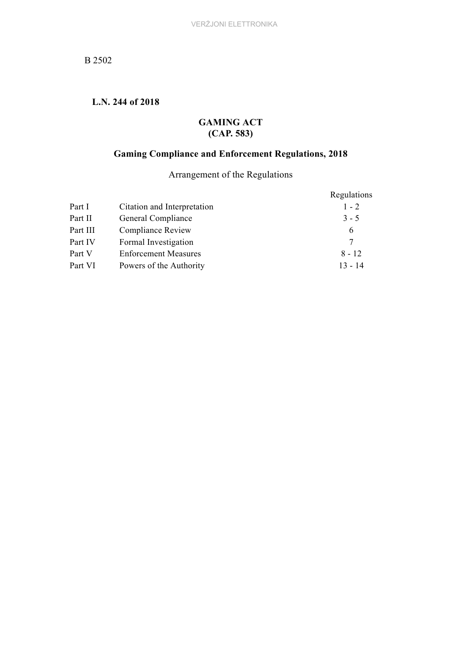# **L.N. 244 of 2018**

# **GAMING ACT (CAP. 583)**

# **Gaming Compliance and Enforcement Regulations, 2018**

Arrangement of the Regulations

| Regulations |
|-------------|
| $1 - 2$     |
| $3 - 5$     |
| 6           |
| 7           |
| $8 - 12$    |
| $13 - 14$   |
|             |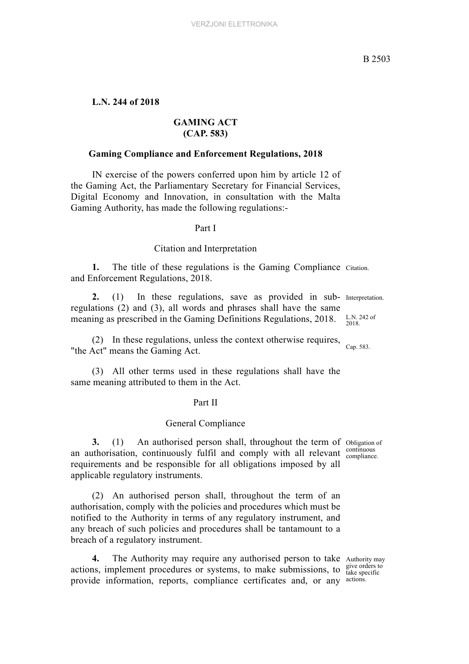# **L.N. 244 of 2018**

# **GAMING ACT (CAP. 583)**

## **Gaming Compliance and Enforcement Regulations, 2018**

IN exercise of the powers conferred upon him by article 12 of the Gaming Act, the Parliamentary Secretary for Financial Services, Digital Economy and Innovation, in consultation with the Malta Gaming Authority, has made the following regulations:-

#### Part I

#### Citation and Interpretation

**1.** The title of these regulations is the Gaming Compliance Citation. and Enforcement Regulations, 2018.

2. (1) In these regulations, save as provided in sub- Interpretation. regulations (2) and (3), all words and phrases shall have the same meaning as prescribed in the Gaming Definitions Regulations, 2018.

Cap. 583. (2) In these regulations, unless the context otherwise requires, "the Act" means the Gaming Act.

(3) All other terms used in these regulations shall have the same meaning attributed to them in the Act.

#### Part II

#### General Compliance

3. (1) An authorised person shall, throughout the term of obligation of continuous an authorisation, continuously fulfil and comply with all relevant continuous requirements and be responsible for all obligations imposed by all applicable regulatory instruments.

(2) An authorised person shall, throughout the term of an authorisation, comply with the policies and procedures which must be notified to the Authority in terms of any regulatory instrument, and any breach of such policies and procedures shall be tantamount to a breach of a regulatory instrument.

4. The Authority may require any authorised person to take Authority may actions, implement procedures or systems, to make submissions, to  $\frac{\text{give orders of}}{\text{take specific}}$ provide information, reports, compliance certificates and, or any actions.

give orders to

L.N. 242 of 2018.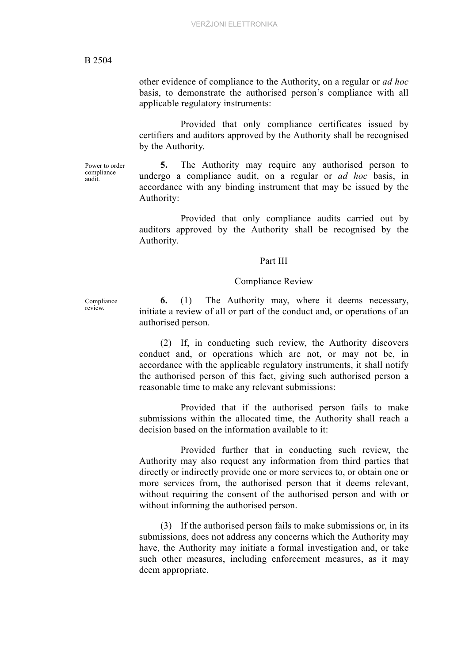other evidence of compliance to the Authority, on a regular or *ad hoc* basis, to demonstrate the authorised person's compliance with all applicable regulatory instruments:

Provided that only compliance certificates issued by certifiers and auditors approved by the Authority shall be recognised by the Authority.

Power to order compliance audit.

**5.** The Authority may require any authorised person to undergo a compliance audit, on a regular or *ad hoc* basis, in accordance with any binding instrument that may be issued by the Authority:

Provided that only compliance audits carried out by auditors approved by the Authority shall be recognised by the Authority.

#### Part III

#### Compliance Review

Compliance review.

**6.** (1) The Authority may, where it deems necessary, initiate a review of all or part of the conduct and, or operations of an authorised person.

(2) If, in conducting such review, the Authority discovers conduct and, or operations which are not, or may not be, in accordance with the applicable regulatory instruments, it shall notify the authorised person of this fact, giving such authorised person a reasonable time to make any relevant submissions:

Provided that if the authorised person fails to make submissions within the allocated time, the Authority shall reach a decision based on the information available to it:

Provided further that in conducting such review, the Authority may also request any information from third parties that directly or indirectly provide one or more services to, or obtain one or more services from, the authorised person that it deems relevant, without requiring the consent of the authorised person and with or without informing the authorised person.

(3) If the authorised person fails to make submissions or, in its submissions, does not address any concerns which the Authority may have, the Authority may initiate a formal investigation and, or take such other measures, including enforcement measures, as it may deem appropriate.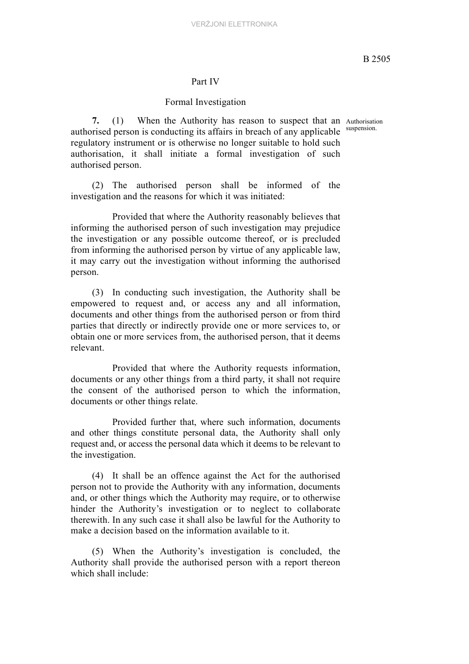## Part IV

#### Formal Investigation

7. (1) When the Authority has reason to suspect that an Authorisation authorised person is conducting its affairs in breach of any applicable suspension. regulatory instrument or is otherwise no longer suitable to hold such authorisation, it shall initiate a formal investigation of such authorised person.

(2) The authorised person shall be informed of the investigation and the reasons for which it was initiated:

Provided that where the Authority reasonably believes that informing the authorised person of such investigation may prejudice the investigation or any possible outcome thereof, or is precluded from informing the authorised person by virtue of any applicable law, it may carry out the investigation without informing the authorised person.

(3) In conducting such investigation, the Authority shall be empowered to request and, or access any and all information, documents and other things from the authorised person or from third parties that directly or indirectly provide one or more services to, or obtain one or more services from, the authorised person, that it deems relevant.

Provided that where the Authority requests information, documents or any other things from a third party, it shall not require the consent of the authorised person to which the information, documents or other things relate.

Provided further that, where such information, documents and other things constitute personal data, the Authority shall only request and, or access the personal data which it deems to be relevant to the investigation.

(4) It shall be an offence against the Act for the authorised person not to provide the Authority with any information, documents and, or other things which the Authority may require, or to otherwise hinder the Authority's investigation or to neglect to collaborate therewith. In any such case it shall also be lawful for the Authority to make a decision based on the information available to it.

(5) When the Authority's investigation is concluded, the Authority shall provide the authorised person with a report thereon which shall include: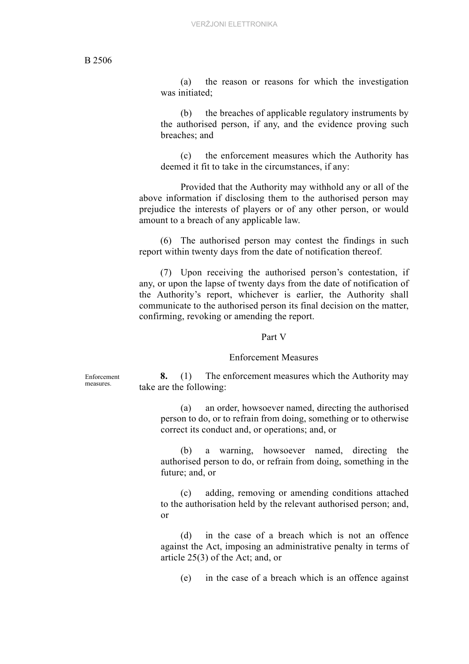(a) the reason or reasons for which the investigation was initiated;

(b) the breaches of applicable regulatory instruments by the authorised person, if any, and the evidence proving such breaches; and

(c) the enforcement measures which the Authority has deemed it fit to take in the circumstances, if any:

Provided that the Authority may withhold any or all of the above information if disclosing them to the authorised person may prejudice the interests of players or of any other person, or would amount to a breach of any applicable law.

(6) The authorised person may contest the findings in such report within twenty days from the date of notification thereof.

(7) Upon receiving the authorised person's contestation, if any, or upon the lapse of twenty days from the date of notification of the Authority's report, whichever is earlier, the Authority shall communicate to the authorised person its final decision on the matter, confirming, revoking or amending the report.

#### Part V

#### Enforcement Measures

Enforcement measures.

**8.** (1) The enforcement measures which the Authority may take are the following:

(a) an order, howsoever named, directing the authorised person to do, or to refrain from doing, something or to otherwise correct its conduct and, or operations; and, or

(b) a warning, howsoever named, directing the authorised person to do, or refrain from doing, something in the future; and, or

(c) adding, removing or amending conditions attached to the authorisation held by the relevant authorised person; and, or

(d) in the case of a breach which is not an offence against the Act, imposing an administrative penalty in terms of article 25(3) of the Act; and, or

(e) in the case of a breach which is an offence against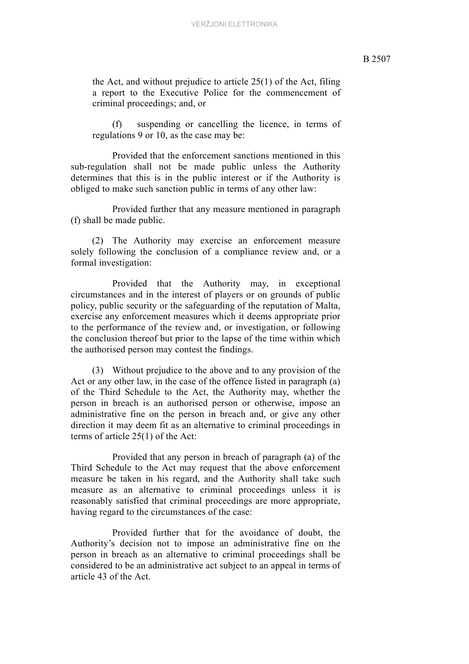the Act, and without prejudice to article 25(1) of the Act, filing a report to the Executive Police for the commencement of criminal proceedings; and, or

(f) suspending or cancelling the licence, in terms of regulations 9 or 10, as the case may be:

Provided that the enforcement sanctions mentioned in this sub-regulation shall not be made public unless the Authority determines that this is in the public interest or if the Authority is obliged to make such sanction public in terms of any other law:

Provided further that any measure mentioned in paragraph (f) shall be made public.

(2) The Authority may exercise an enforcement measure solely following the conclusion of a compliance review and, or a formal investigation:

Provided that the Authority may, in exceptional circumstances and in the interest of players or on grounds of public policy, public security or the safeguarding of the reputation of Malta, exercise any enforcement measures which it deems appropriate prior to the performance of the review and, or investigation, or following the conclusion thereof but prior to the lapse of the time within which the authorised person may contest the findings.

(3) Without prejudice to the above and to any provision of the Act or any other law, in the case of the offence listed in paragraph (a) of the Third Schedule to the Act, the Authority may, whether the person in breach is an authorised person or otherwise, impose an administrative fine on the person in breach and, or give any other direction it may deem fit as an alternative to criminal proceedings in terms of article 25(1) of the Act:

Provided that any person in breach of paragraph (a) of the Third Schedule to the Act may request that the above enforcement measure be taken in his regard, and the Authority shall take such measure as an alternative to criminal proceedings unless it is reasonably satisfied that criminal proceedings are more appropriate, having regard to the circumstances of the case:

Provided further that for the avoidance of doubt, the Authority's decision not to impose an administrative fine on the person in breach as an alternative to criminal proceedings shall be considered to be an administrative act subject to an appeal in terms of article 43 of the Act.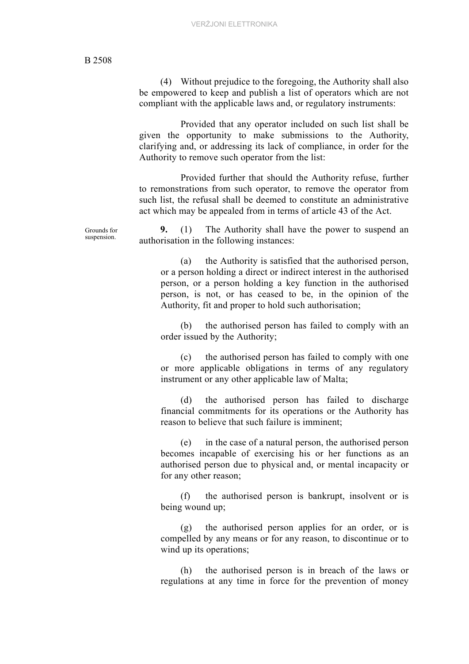Grounds for suspension.

(4) Without prejudice to the foregoing, the Authority shall also be empowered to keep and publish a list of operators which are not compliant with the applicable laws and, or regulatory instruments:

Provided that any operator included on such list shall be given the opportunity to make submissions to the Authority, clarifying and, or addressing its lack of compliance, in order for the Authority to remove such operator from the list:

Provided further that should the Authority refuse, further to remonstrations from such operator, to remove the operator from such list, the refusal shall be deemed to constitute an administrative act which may be appealed from in terms of article 43 of the Act.

**9.** (1) The Authority shall have the power to suspend an authorisation in the following instances:

> (a) the Authority is satisfied that the authorised person, or a person holding a direct or indirect interest in the authorised person, or a person holding a key function in the authorised person, is not, or has ceased to be, in the opinion of the Authority, fit and proper to hold such authorisation;

> (b) the authorised person has failed to comply with an order issued by the Authority;

> (c) the authorised person has failed to comply with one or more applicable obligations in terms of any regulatory instrument or any other applicable law of Malta;

> (d) the authorised person has failed to discharge financial commitments for its operations or the Authority has reason to believe that such failure is imminent;

> (e) in the case of a natural person, the authorised person becomes incapable of exercising his or her functions as an authorised person due to physical and, or mental incapacity or for any other reason;

> (f) the authorised person is bankrupt, insolvent or is being wound up;

> (g) the authorised person applies for an order, or is compelled by any means or for any reason, to discontinue or to wind up its operations;

> (h) the authorised person is in breach of the laws or regulations at any time in force for the prevention of money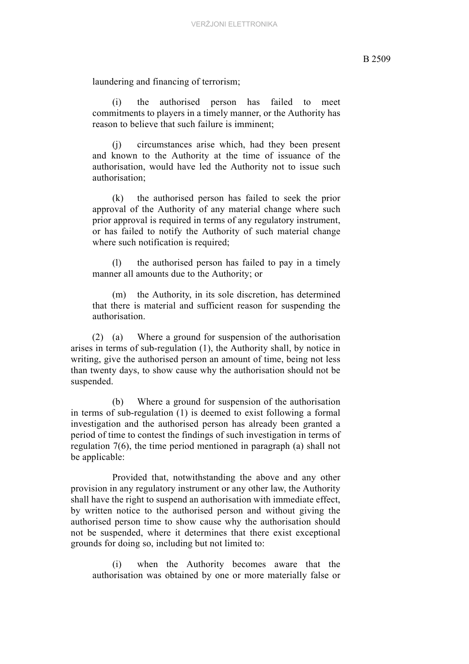laundering and financing of terrorism;

(i) the authorised person has failed to meet commitments to players in a timely manner, or the Authority has reason to believe that such failure is imminent;

(j) circumstances arise which, had they been present and known to the Authority at the time of issuance of the authorisation, would have led the Authority not to issue such authorisation;

(k) the authorised person has failed to seek the prior approval of the Authority of any material change where such prior approval is required in terms of any regulatory instrument, or has failed to notify the Authority of such material change where such notification is required;

(l) the authorised person has failed to pay in a timely manner all amounts due to the Authority; or

(m) the Authority, in its sole discretion, has determined that there is material and sufficient reason for suspending the authorisation.

(2) (a) Where a ground for suspension of the authorisation arises in terms of sub-regulation (1), the Authority shall, by notice in writing, give the authorised person an amount of time, being not less than twenty days, to show cause why the authorisation should not be suspended.

(b) Where a ground for suspension of the authorisation in terms of sub-regulation (1) is deemed to exist following a formal investigation and the authorised person has already been granted a period of time to contest the findings of such investigation in terms of regulation 7(6), the time period mentioned in paragraph (a) shall not be applicable:

Provided that, notwithstanding the above and any other provision in any regulatory instrument or any other law, the Authority shall have the right to suspend an authorisation with immediate effect, by written notice to the authorised person and without giving the authorised person time to show cause why the authorisation should not be suspended, where it determines that there exist exceptional grounds for doing so, including but not limited to:

(i) when the Authority becomes aware that the authorisation was obtained by one or more materially false or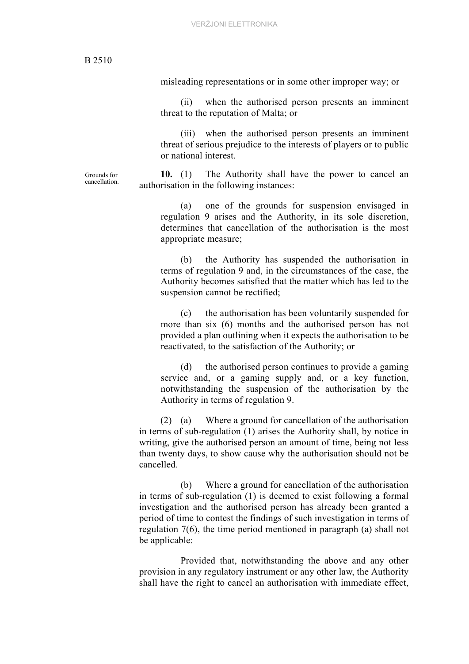Grounds for cancellation. misleading representations or in some other improper way; or

(ii) when the authorised person presents an imminent threat to the reputation of Malta; or

(iii) when the authorised person presents an imminent threat of serious prejudice to the interests of players or to public or national interest.

**10.** (1) The Authority shall have the power to cancel an authorisation in the following instances:

(a) one of the grounds for suspension envisaged in regulation 9 arises and the Authority, in its sole discretion, determines that cancellation of the authorisation is the most appropriate measure;

(b) the Authority has suspended the authorisation in terms of regulation 9 and, in the circumstances of the case, the Authority becomes satisfied that the matter which has led to the suspension cannot be rectified;

(c) the authorisation has been voluntarily suspended for more than six (6) months and the authorised person has not provided a plan outlining when it expects the authorisation to be reactivated, to the satisfaction of the Authority; or

(d) the authorised person continues to provide a gaming service and, or a gaming supply and, or a key function, notwithstanding the suspension of the authorisation by the Authority in terms of regulation 9.

(2) (a) Where a ground for cancellation of the authorisation in terms of sub-regulation (1) arises the Authority shall, by notice in writing, give the authorised person an amount of time, being not less than twenty days, to show cause why the authorisation should not be cancelled.

(b) Where a ground for cancellation of the authorisation in terms of sub-regulation (1) is deemed to exist following a formal investigation and the authorised person has already been granted a period of time to contest the findings of such investigation in terms of regulation 7(6), the time period mentioned in paragraph (a) shall not be applicable:

Provided that, notwithstanding the above and any other provision in any regulatory instrument or any other law, the Authority shall have the right to cancel an authorisation with immediate effect,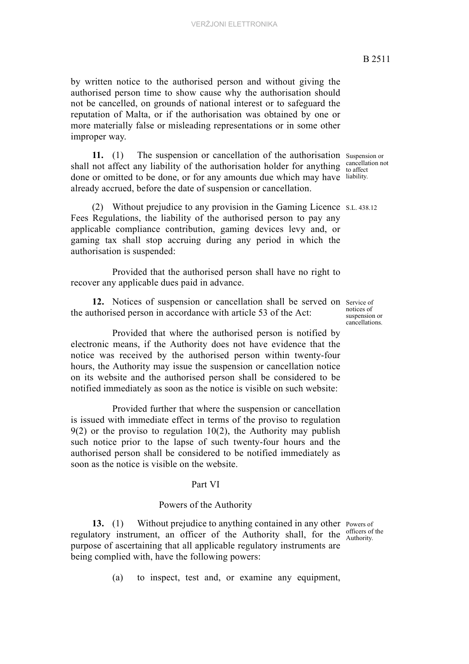by written notice to the authorised person and without giving the authorised person time to show cause why the authorisation should not be cancelled, on grounds of national interest or to safeguard the reputation of Malta, or if the authorisation was obtained by one or more materially false or misleading representations or in some other improper way.

11. (1) The suspension or cancellation of the authorisation Suspension or shall not affect any liability of the authorisation holder for anything  $\frac{\text{cancellation}}{\text{to affect}}$ done or omitted to be done, or for any amounts due which may have liability. already accrued, before the date of suspension or cancellation.

(2) Without prejudice to any provision in the Gaming Licence S.L. 438.12 Fees Regulations, the liability of the authorised person to pay any applicable compliance contribution, gaming devices levy and, or gaming tax shall stop accruing during any period in which the authorisation is suspended:

Provided that the authorised person shall have no right to recover any applicable dues paid in advance.

12. Notices of suspension or cancellation shall be served on service of the authorised person in accordance with article 53 of the Act:

Provided that where the authorised person is notified by electronic means, if the Authority does not have evidence that the notice was received by the authorised person within twenty-four hours, the Authority may issue the suspension or cancellation notice on its website and the authorised person shall be considered to be notified immediately as soon as the notice is visible on such website:

Provided further that where the suspension or cancellation is issued with immediate effect in terms of the proviso to regulation  $9(2)$  or the proviso to regulation 10(2), the Authority may publish such notice prior to the lapse of such twenty-four hours and the authorised person shall be considered to be notified immediately as soon as the notice is visible on the website.

## Part VI

#### Powers of the Authority

13. (1) Without prejudice to anything contained in any other Powers of regulatory instrument, an officer of the Authority shall, for the  $\frac{\text{on } \text{energy}}{\text{Authority}}$ purpose of ascertaining that all applicable regulatory instruments are being complied with, have the following powers:

(a) to inspect, test and, or examine any equipment,

officers of the

notices of suspension or cancellations.

cancellation not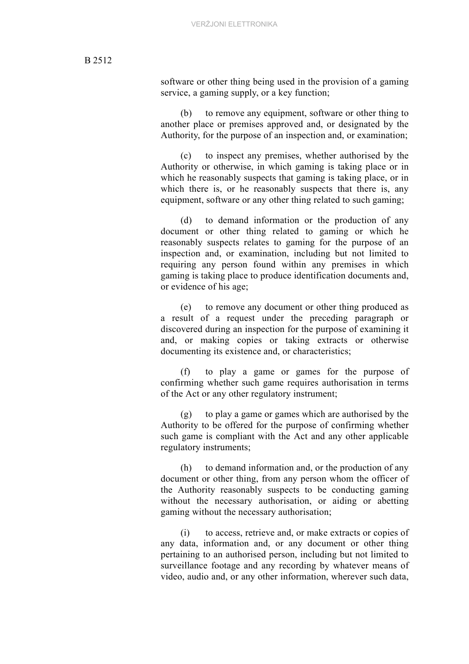software or other thing being used in the provision of a gaming service, a gaming supply, or a key function;

(b) to remove any equipment, software or other thing to another place or premises approved and, or designated by the Authority, for the purpose of an inspection and, or examination;

(c) to inspect any premises, whether authorised by the Authority or otherwise, in which gaming is taking place or in which he reasonably suspects that gaming is taking place, or in which there is, or he reasonably suspects that there is, any equipment, software or any other thing related to such gaming;

(d) to demand information or the production of any document or other thing related to gaming or which he reasonably suspects relates to gaming for the purpose of an inspection and, or examination, including but not limited to requiring any person found within any premises in which gaming is taking place to produce identification documents and, or evidence of his age;

(e) to remove any document or other thing produced as a result of a request under the preceding paragraph or discovered during an inspection for the purpose of examining it and, or making copies or taking extracts or otherwise documenting its existence and, or characteristics;

(f) to play a game or games for the purpose of confirming whether such game requires authorisation in terms of the Act or any other regulatory instrument;

(g) to play a game or games which are authorised by the Authority to be offered for the purpose of confirming whether such game is compliant with the Act and any other applicable regulatory instruments;

(h) to demand information and, or the production of any document or other thing, from any person whom the officer of the Authority reasonably suspects to be conducting gaming without the necessary authorisation, or aiding or abetting gaming without the necessary authorisation;

(i) to access, retrieve and, or make extracts or copies of any data, information and, or any document or other thing pertaining to an authorised person, including but not limited to surveillance footage and any recording by whatever means of video, audio and, or any other information, wherever such data,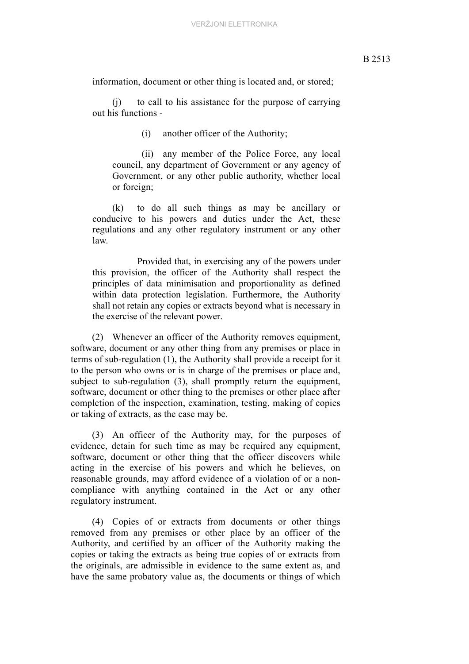information, document or other thing is located and, or stored;

(j) to call to his assistance for the purpose of carrying out his functions -

(i) another officer of the Authority;

(ii) any member of the Police Force, any local council, any department of Government or any agency of Government, or any other public authority, whether local or foreign;

(k) to do all such things as may be ancillary or conducive to his powers and duties under the Act, these regulations and any other regulatory instrument or any other law.

Provided that, in exercising any of the powers under this provision, the officer of the Authority shall respect the principles of data minimisation and proportionality as defined within data protection legislation. Furthermore, the Authority shall not retain any copies or extracts beyond what is necessary in the exercise of the relevant power.

(2) Whenever an officer of the Authority removes equipment, software, document or any other thing from any premises or place in terms of sub-regulation (1), the Authority shall provide a receipt for it to the person who owns or is in charge of the premises or place and, subject to sub-regulation (3), shall promptly return the equipment, software, document or other thing to the premises or other place after completion of the inspection, examination, testing, making of copies or taking of extracts, as the case may be.

(3) An officer of the Authority may, for the purposes of evidence, detain for such time as may be required any equipment, software, document or other thing that the officer discovers while acting in the exercise of his powers and which he believes, on reasonable grounds, may afford evidence of a violation of or a noncompliance with anything contained in the Act or any other regulatory instrument.

(4) Copies of or extracts from documents or other things removed from any premises or other place by an officer of the Authority, and certified by an officer of the Authority making the copies or taking the extracts as being true copies of or extracts from the originals, are admissible in evidence to the same extent as, and have the same probatory value as, the documents or things of which